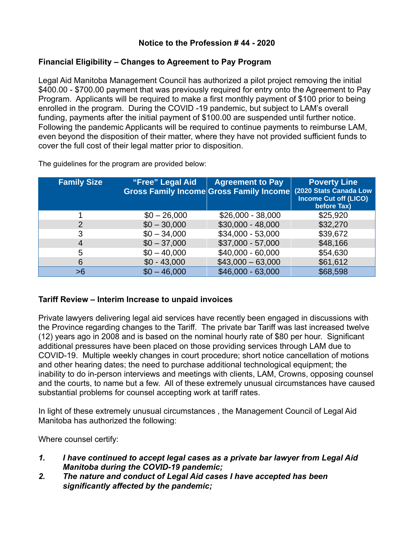## **Notice to the Profession # 44 - 2020**

## **Financial Eligibility – Changes to Agreement to Pay Program**

Legal Aid Manitoba Management Council has authorized a pilot project removing the initial \$400.00 - \$700.00 payment that was previously required for entry onto the Agreement to Pay Program. Applicants will be required to make a first monthly payment of \$100 prior to being enrolled in the program. During the COVID -19 pandemic, but subject to LAM's overall funding, payments after the initial payment of \$100.00 are suspended until further notice. Following the pandemic Applicants will be required to continue payments to reimburse LAM, even beyond the disposition of their matter, where they have not provided sufficient funds to cover the full cost of their legal matter prior to disposition.

| <b>Family Size</b> | "Free" Legal Aid | <b>Agreement to Pay</b><br><b>Gross Family Income Gross Family Income</b> | <b>Poverty Line</b><br>(2020 Stats Canada Low<br><b>Income Cut off (LICO)</b><br>before Tax) |
|--------------------|------------------|---------------------------------------------------------------------------|----------------------------------------------------------------------------------------------|
|                    | $$0 - 26,000$    | $$26,000 - 38,000$                                                        | \$25,920                                                                                     |
| 2                  | $$0 - 30,000$    | $$30,000 - 48,000$                                                        | \$32,270                                                                                     |
| 3                  | $$0 - 34,000$    | \$34,000 - 53,000                                                         | \$39,672                                                                                     |
| 4                  | $$0 - 37,000$    | \$37,000 - 57,000                                                         | \$48,166                                                                                     |
| 5                  | $$0 - 40,000$    | \$40,000 - 60,000                                                         | \$54,630                                                                                     |
| 6                  | $$0 - 43,000$    | $$43,000 - 63,000$                                                        | \$61,612                                                                                     |
| >6                 | $$0 - 46,000$    | \$46,000 - 63,000                                                         | \$68,598                                                                                     |

The guidelines for the program are provided below:

# **Tariff Review – Interim Increase to unpaid invoices**

Private lawyers delivering legal aid services have recently been engaged in discussions with the Province regarding changes to the Tariff. The private bar Tariff was last increased twelve (12) years ago in 2008 and is based on the nominal hourly rate of \$80 per hour. Significant additional pressures have been placed on those providing services through LAM due to COVID-19. Multiple weekly changes in court procedure; short notice cancellation of motions and other hearing dates; the need to purchase additional technological equipment; the inability to do in-person interviews and meetings with clients, LAM, Crowns, opposing counsel and the courts, to name but a few. All of these extremely unusual circumstances have caused substantial problems for counsel accepting work at tariff rates.

In light of these extremely unusual circumstances , the Management Council of Legal Aid Manitoba has authorized the following:

Where counsel certify:

- *1. I have continued to accept legal cases as a private bar lawyer from Legal Aid Manitoba during the COVID-19 pandemic;*
- *2. The nature and conduct of Legal Aid cases I have accepted has been significantly affected by the pandemic;*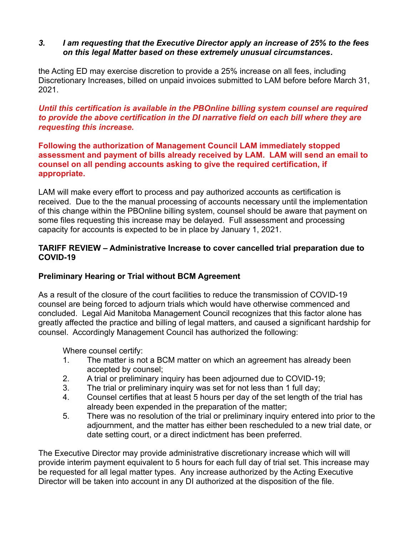#### *3. I am requesting that the Executive Director apply an increase of 25% to the fees on this legal Matter based on these extremely unusual circumstances.*

the Acting ED may exercise discretion to provide a 25% increase on all fees, including Discretionary Increases, billed on unpaid invoices submitted to LAM before before March 31, 2021.

*Until this certification is available in the PBOnline billing system counsel are required to provide the above certification in the DI narrative field on each bill where they are requesting this increase.*

#### **Following the authorization of Management Council LAM immediately stopped assessment and payment of bills already received by LAM. LAM will send an email to counsel on all pending accounts asking to give the required certification, if appropriate.**

LAM will make every effort to process and pay authorized accounts as certification is received. Due to the the manual processing of accounts necessary until the implementation of this change within the PBOnline billing system, counsel should be aware that payment on some files requesting this increase may be delayed. Full assessment and processing capacity for accounts is expected to be in place by January 1, 2021.

# **TARIFF REVIEW – Administrative Increase to cover cancelled trial preparation due to COVID-19**

# **Preliminary Hearing or Trial without BCM Agreement**

As a result of the closure of the court facilities to reduce the transmission of COVID-19 counsel are being forced to adjourn trials which would have otherwise commenced and concluded. Legal Aid Manitoba Management Council recognizes that this factor alone has greatly affected the practice and billing of legal matters, and caused a significant hardship for counsel. Accordingly Management Council has authorized the following:

Where counsel certify:

- 1. The matter is not a BCM matter on which an agreement has already been accepted by counsel;
- 2. A trial or preliminary inquiry has been adjourned due to COVID-19;
- 3. The trial or preliminary inquiry was set for not less than 1 full day;
- 4. Counsel certifies that at least 5 hours per day of the set length of the trial has already been expended in the preparation of the matter;
- 5. There was no resolution of the trial or preliminary inquiry entered into prior to the adjournment, and the matter has either been rescheduled to a new trial date, or date setting court, or a direct indictment has been preferred.

The Executive Director may provide administrative discretionary increase which will will provide interim payment equivalent to 5 hours for each full day of trial set. This increase may be requested for all legal matter types. Any increase authorized by the Acting Executive Director will be taken into account in any DI authorized at the disposition of the file.